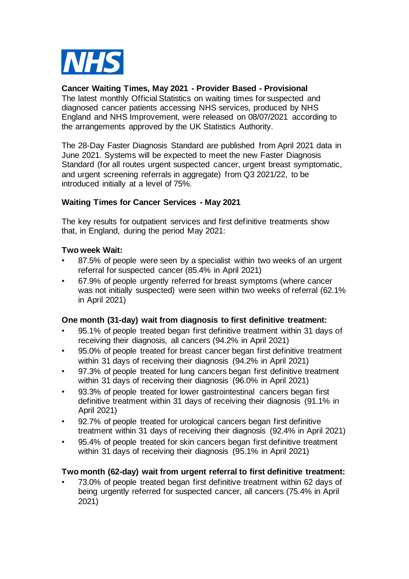

# **Cancer Waiting Times, May 2021 - Provider Based - Provisional**

The latest monthly Official Statistics on waiting times for suspected and diagnosed cancer patients accessing NHS services, produced by NHS England and NHS Improvement, were released on 08/07/2021 according to the arrangements approved by the UK Statistics Authority.

The 28-Day Faster Diagnosis Standard are published from April 2021 data in June 2021. Systems will be expected to meet the new Faster Diagnosis Standard (for all routes urgent suspected cancer, urgent breast symptomatic, and urgent screening referrals in aggregate) from Q3 2021/22, to be introduced initially at a level of 75%.

# **Waiting Times for Cancer Services - May 2021**

The key results for outpatient services and first definitive treatments show that, in England, during the period May 2021:

#### **Two week Wait:**

- 87.5% of people were seen by a specialist within two weeks of an urgent referral for suspected cancer (85.4% in April 2021)
- 67.9% of people urgently referred for breast symptoms (where cancer was not initially suspected) were seen within two weeks of referral (62.1% in April 2021)

#### **One month (31-day) wait from diagnosis to first definitive treatment:**

- 95.1% of people treated began first definitive treatment within 31 days of receiving their diagnosis, all cancers (94.2% in April 2021)
- 95.0% of people treated for breast cancer began first definitive treatment within 31 days of receiving their diagnosis (94.2% in April 2021)
- 97.3% of people treated for lung cancers began first definitive treatment within 31 days of receiving their diagnosis (96.0% in April 2021)
- 93.3% of people treated for lower gastrointestinal cancers began first definitive treatment within 31 days of receiving their diagnosis (91.1% in April 2021)
- 92.7% of people treated for urological cancers began first definitive treatment within 31 days of receiving their diagnosis (92.4% in April 2021)
- 95.4% of people treated for skin cancers began first definitive treatment within 31 days of receiving their diagnosis (95.1% in April 2021)

# **Two month (62-day) wait from urgent referral to first definitive treatment:**

• 73.0% of people treated began first definitive treatment within 62 days of being urgently referred for suspected cancer, all cancers (75.4% in April 2021)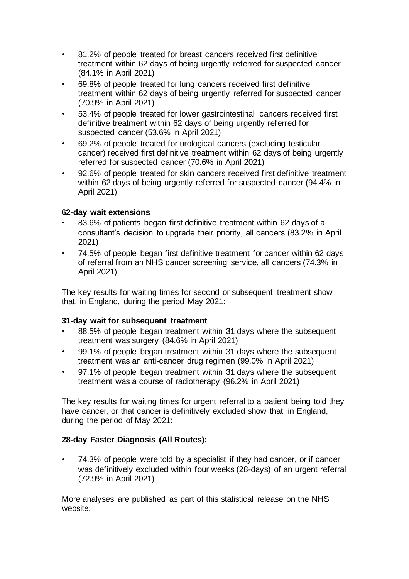- 81.2% of people treated for breast cancers received first definitive treatment within 62 days of being urgently referred for suspected cancer (84.1% in April 2021)
- 69.8% of people treated for lung cancers received first definitive treatment within 62 days of being urgently referred for suspected cancer (70.9% in April 2021)
- 53.4% of people treated for lower gastrointestinal cancers received first definitive treatment within 62 days of being urgently referred for suspected cancer (53.6% in April 2021)
- 69.2% of people treated for urological cancers (excluding testicular cancer) received first definitive treatment within 62 days of being urgently referred for suspected cancer (70.6% in April 2021)
- 92.6% of people treated for skin cancers received first definitive treatment within 62 days of being urgently referred for suspected cancer (94.4% in April 2021)

# **62-day wait extensions**

- 83.6% of patients began first definitive treatment within 62 days of a consultant's decision to upgrade their priority, all cancers (83.2% in April 2021)
- 74.5% of people began first definitive treatment for cancer within 62 days of referral from an NHS cancer screening service, all cancers (74.3% in April 2021)

The key results for waiting times for second or subsequent treatment show that, in England, during the period May 2021:

# **31-day wait for subsequent treatment**

- 88.5% of people began treatment within 31 days where the subsequent treatment was surgery (84.6% in April 2021)
- 99.1% of people began treatment within 31 days where the subsequent treatment was an anti-cancer drug regimen (99.0% in April 2021)
- 97.1% of people began treatment within 31 days where the subsequent treatment was a course of radiotherapy (96.2% in April 2021)

The key results for waiting times for urgent referral to a patient being told they have cancer, or that cancer is definitively excluded show that, in England, during the period of May 2021:

# **28-day Faster Diagnosis (All Routes):**

• 74.3% of people were told by a specialist if they had cancer, or if cancer was definitively excluded within four weeks (28-days) of an urgent referral (72.9% in April 2021)

More analyses are published as part of this statistical release on the NHS website.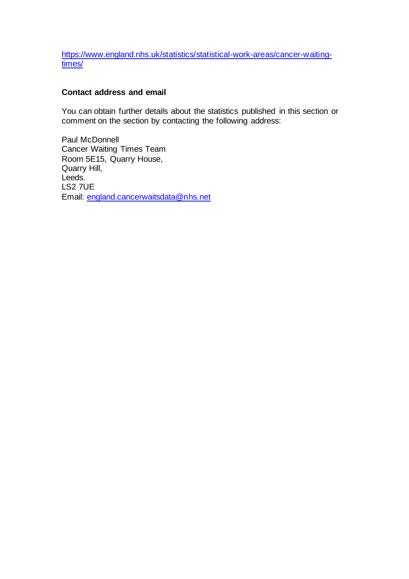[https://www.england.nhs.uk/statistics/statistical-work-areas/cancer-waiting](https://www.england.nhs.uk/statistics/statistical-work-areas/cancer-waiting-times/)[times/](https://www.england.nhs.uk/statistics/statistical-work-areas/cancer-waiting-times/)

# **Contact address and email**

You can obtain further details about the statistics published in this section or comment on the section by contacting the following address:

Paul McDonnell Cancer Waiting Times Team Room 5E15, Quarry House, Quarry Hill, Leeds. LS2 7UE Email: [england.cancerwaitsdata@nhs.net](mailto:england.cancerwaitsdata@nhs.net)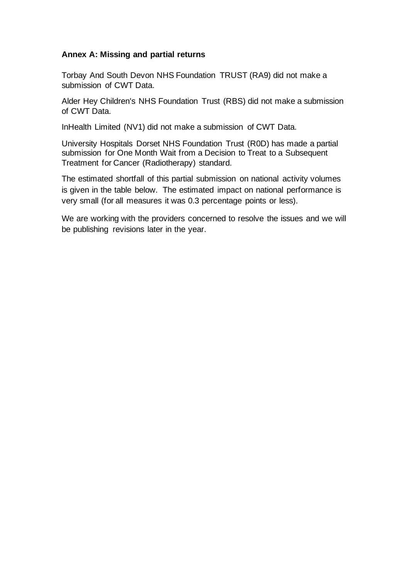# **Annex A: Missing and partial returns**

Torbay And South Devon NHS Foundation TRUST (RA9) did not make a submission of CWT Data.

Alder Hey Children's NHS Foundation Trust (RBS) did not make a submission of CWT Data.

InHealth Limited (NV1) did not make a submission of CWT Data.

University Hospitals Dorset NHS Foundation Trust (R0D) has made a partial submission for One Month Wait from a Decision to Treat to a Subsequent Treatment for Cancer (Radiotherapy) standard.

The estimated shortfall of this partial submission on national activity volumes is given in the table below. The estimated impact on national performance is very small (for all measures it was 0.3 percentage points or less).

We are working with the providers concerned to resolve the issues and we will be publishing revisions later in the year.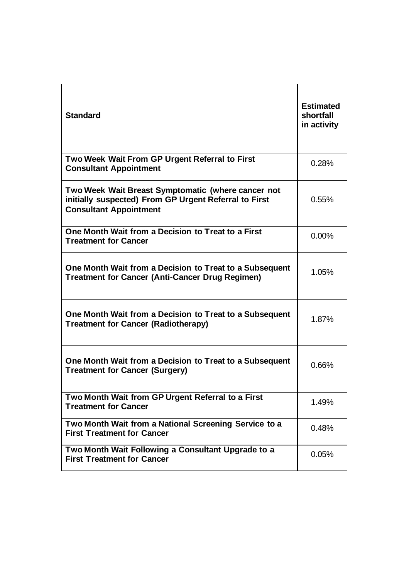| <b>Standard</b>                                                                                                                              | <b>Estimated</b><br>shortfall<br>in activity |
|----------------------------------------------------------------------------------------------------------------------------------------------|----------------------------------------------|
| Two Week Wait From GP Urgent Referral to First<br><b>Consultant Appointment</b>                                                              | 0.28%                                        |
| Two Week Wait Breast Symptomatic (where cancer not<br>initially suspected) From GP Urgent Referral to First<br><b>Consultant Appointment</b> | 0.55%                                        |
| One Month Wait from a Decision to Treat to a First<br><b>Treatment for Cancer</b>                                                            | 0.00%                                        |
| One Month Wait from a Decision to Treat to a Subsequent<br><b>Treatment for Cancer (Anti-Cancer Drug Regimen)</b>                            | 1.05%                                        |
| One Month Wait from a Decision to Treat to a Subsequent<br><b>Treatment for Cancer (Radiotherapy)</b>                                        | 1.87%                                        |
| One Month Wait from a Decision to Treat to a Subsequent<br><b>Treatment for Cancer (Surgery)</b>                                             | 0.66%                                        |
| Two Month Wait from GP Urgent Referral to a First<br><b>Treatment for Cancer</b>                                                             | 1.49%                                        |
| Two Month Wait from a National Screening Service to a<br><b>First Treatment for Cancer</b>                                                   | 0.48%                                        |
| Two Month Wait Following a Consultant Upgrade to a<br><b>First Treatment for Cancer</b>                                                      | 0.05%                                        |